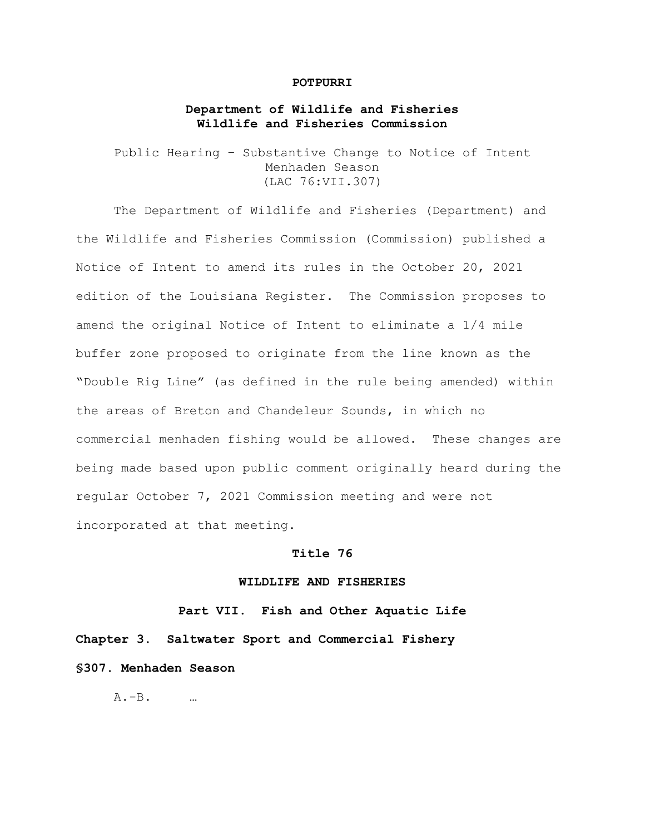#### **POTPURRI**

# **Department of Wildlife and Fisheries Wildlife and Fisheries Commission**

Public Hearing – Substantive Change to Notice of Intent Menhaden Season (LAC 76:VII.307)

The Department of Wildlife and Fisheries (Department) and the Wildlife and Fisheries Commission (Commission) published a Notice of Intent to amend its rules in the October 20, 2021 edition of the Louisiana Register. The Commission proposes to amend the original Notice of Intent to eliminate a 1/4 mile buffer zone proposed to originate from the line known as the "Double Rig Line" (as defined in the rule being amended) within the areas of Breton and Chandeleur Sounds, in which no commercial menhaden fishing would be allowed. These changes are being made based upon public comment originally heard during the regular October 7, 2021 Commission meeting and were not incorporated at that meeting.

#### **Title 76**

## **WILDLIFE AND FISHERIES**

**Part VII. Fish and Other Aquatic Life Chapter 3. Saltwater Sport and Commercial Fishery §307. Menhaden Season**

 $A - B$ . …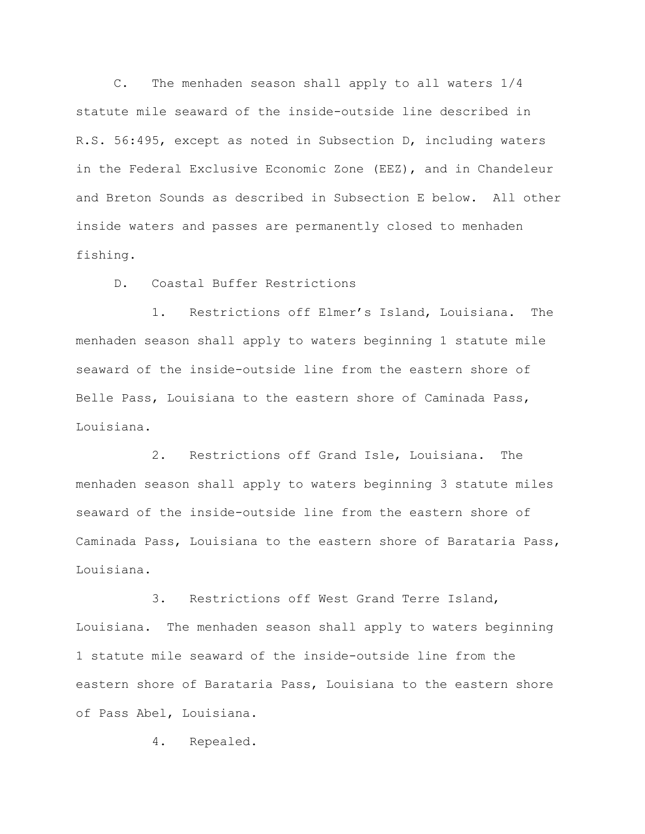C. The menhaden season shall apply to all waters 1/4 statute mile seaward of the inside-outside line described in R.S. 56:495, except as noted in Subsection D, including waters in the Federal Exclusive Economic Zone (EEZ), and in Chandeleur and Breton Sounds as described in Subsection E below. All other inside waters and passes are permanently closed to menhaden fishing.

D. Coastal Buffer Restrictions

1. Restrictions off Elmer's Island, Louisiana. The menhaden season shall apply to waters beginning 1 statute mile seaward of the inside-outside line from the eastern shore of Belle Pass, Louisiana to the eastern shore of Caminada Pass, Louisiana.

2. Restrictions off Grand Isle, Louisiana. The menhaden season shall apply to waters beginning 3 statute miles seaward of the inside-outside line from the eastern shore of Caminada Pass, Louisiana to the eastern shore of Barataria Pass, Louisiana.

3. Restrictions off West Grand Terre Island, Louisiana. The menhaden season shall apply to waters beginning 1 statute mile seaward of the inside-outside line from the eastern shore of Barataria Pass, Louisiana to the eastern shore of Pass Abel, Louisiana.

4. Repealed.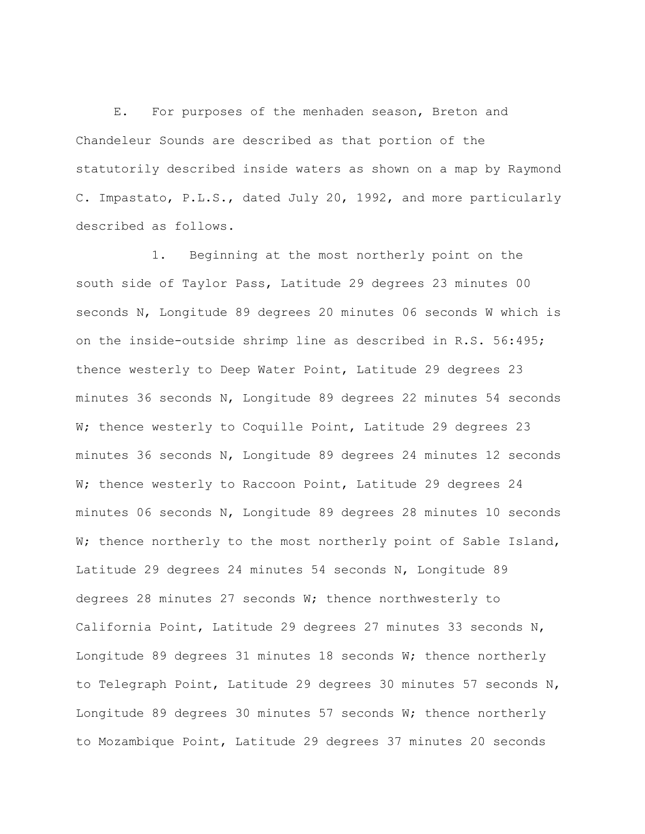E. For purposes of the menhaden season, Breton and Chandeleur Sounds are described as that portion of the statutorily described inside waters as shown on a map by Raymond C. Impastato, P.L.S., dated July 20, 1992, and more particularly described as follows.

1. Beginning at the most northerly point on the south side of Taylor Pass, Latitude 29 degrees 23 minutes 00 seconds N, Longitude 89 degrees 20 minutes 06 seconds W which is on the inside-outside shrimp line as described in R.S. 56:495; thence westerly to Deep Water Point, Latitude 29 degrees 23 minutes 36 seconds N, Longitude 89 degrees 22 minutes 54 seconds W; thence westerly to Coquille Point, Latitude 29 degrees 23 minutes 36 seconds N, Longitude 89 degrees 24 minutes 12 seconds W; thence westerly to Raccoon Point, Latitude 29 degrees 24 minutes 06 seconds N, Longitude 89 degrees 28 minutes 10 seconds W; thence northerly to the most northerly point of Sable Island, Latitude 29 degrees 24 minutes 54 seconds N, Longitude 89 degrees 28 minutes 27 seconds W; thence northwesterly to California Point, Latitude 29 degrees 27 minutes 33 seconds N, Longitude 89 degrees 31 minutes 18 seconds W; thence northerly to Telegraph Point, Latitude 29 degrees 30 minutes 57 seconds N, Longitude 89 degrees 30 minutes 57 seconds W; thence northerly to Mozambique Point, Latitude 29 degrees 37 minutes 20 seconds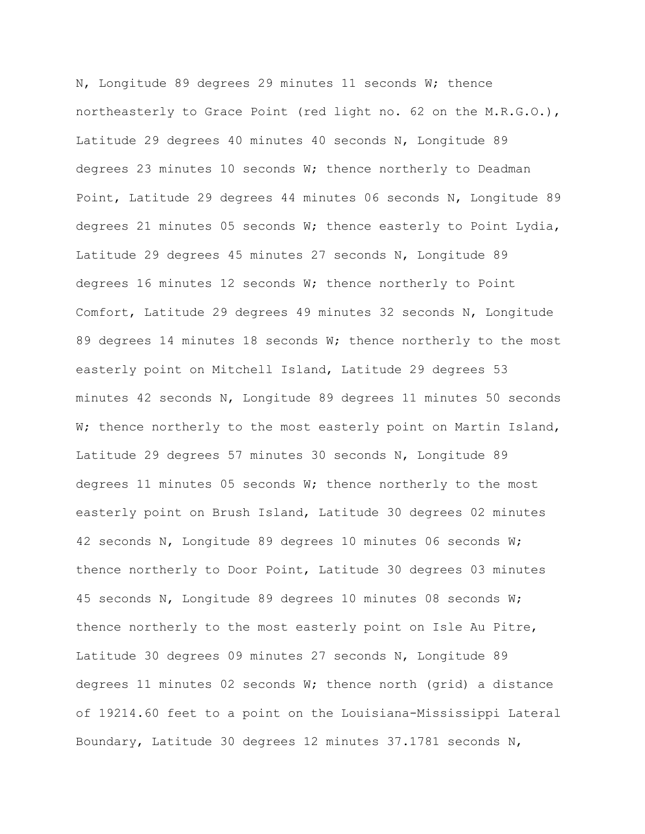N, Longitude 89 degrees 29 minutes 11 seconds W; thence northeasterly to Grace Point (red light no. 62 on the M.R.G.O.), Latitude 29 degrees 40 minutes 40 seconds N, Longitude 89 degrees 23 minutes 10 seconds W; thence northerly to Deadman Point, Latitude 29 degrees 44 minutes 06 seconds N, Longitude 89 degrees 21 minutes 05 seconds W; thence easterly to Point Lydia, Latitude 29 degrees 45 minutes 27 seconds N, Longitude 89 degrees 16 minutes 12 seconds W; thence northerly to Point Comfort, Latitude 29 degrees 49 minutes 32 seconds N, Longitude 89 degrees 14 minutes 18 seconds  $W$ ; thence northerly to the most easterly point on Mitchell Island, Latitude 29 degrees 53 minutes 42 seconds N, Longitude 89 degrees 11 minutes 50 seconds W; thence northerly to the most easterly point on Martin Island, Latitude 29 degrees 57 minutes 30 seconds N, Longitude 89 degrees 11 minutes 05 seconds W; thence northerly to the most easterly point on Brush Island, Latitude 30 degrees 02 minutes 42 seconds N, Longitude 89 degrees 10 minutes 06 seconds W; thence northerly to Door Point, Latitude 30 degrees 03 minutes 45 seconds N, Longitude 89 degrees 10 minutes 08 seconds W; thence northerly to the most easterly point on Isle Au Pitre, Latitude 30 degrees 09 minutes 27 seconds N, Longitude 89 degrees 11 minutes 02 seconds W; thence north (grid) a distance of 19214.60 feet to a point on the Louisiana-Mississippi Lateral Boundary, Latitude 30 degrees 12 minutes 37.1781 seconds N,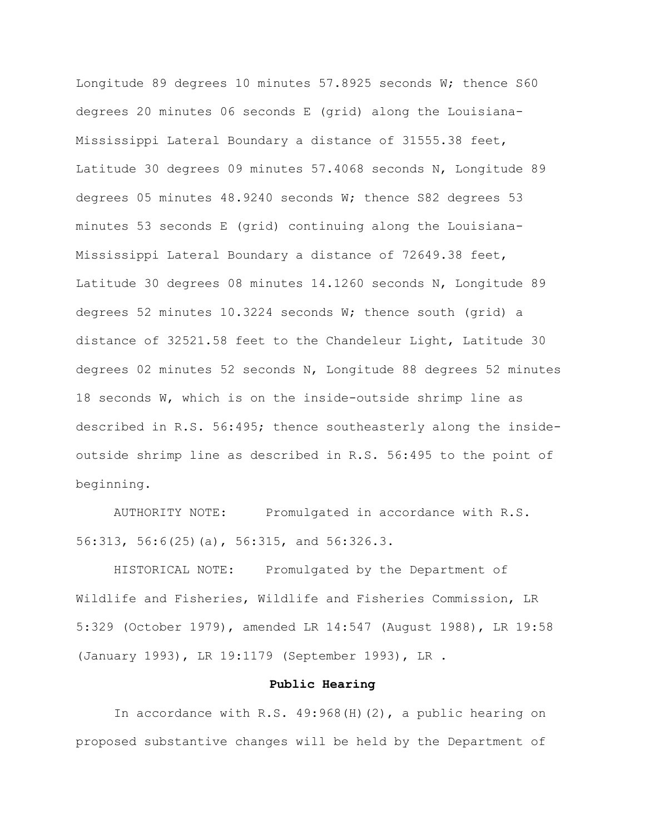Longitude 89 degrees 10 minutes 57.8925 seconds W; thence S60 degrees 20 minutes 06 seconds E (grid) along the Louisiana-Mississippi Lateral Boundary a distance of 31555.38 feet, Latitude 30 degrees 09 minutes 57.4068 seconds N, Longitude 89 degrees 05 minutes 48.9240 seconds W; thence S82 degrees 53 minutes 53 seconds E (grid) continuing along the Louisiana-Mississippi Lateral Boundary a distance of 72649.38 feet, Latitude 30 degrees 08 minutes 14.1260 seconds N, Longitude 89 degrees 52 minutes 10.3224 seconds W; thence south (grid) a distance of 32521.58 feet to the Chandeleur Light, Latitude 30 degrees 02 minutes 52 seconds N, Longitude 88 degrees 52 minutes 18 seconds W, which is on the inside-outside shrimp line as described in R.S. 56:495; thence southeasterly along the insideoutside shrimp line as described in R.S. 56:495 to the point of beginning.

AUTHORITY NOTE: Promulgated in accordance with R.S. 56:313, 56:6(25)(a), 56:315, and 56:326.3.

HISTORICAL NOTE: Promulgated by the Department of Wildlife and Fisheries, Wildlife and Fisheries Commission, LR 5:329 (October 1979), amended LR 14:547 (August 1988), LR 19:58 (January 1993), LR 19:1179 (September 1993), LR .

### **Public Hearing**

In accordance with R.S. 49:968(H)(2), a public hearing on proposed substantive changes will be held by the Department of